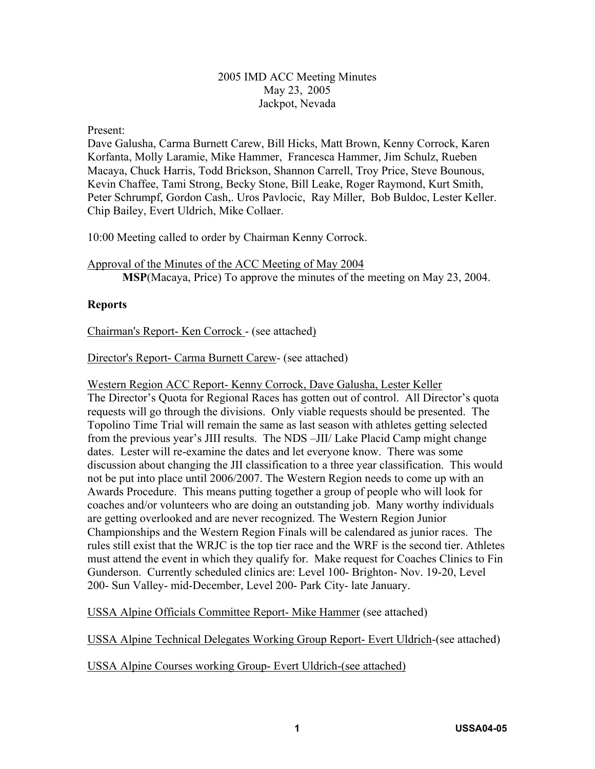#### 2005 IMD ACC Meeting Minutes May 23, 2005 Jackpot, Nevada

#### Present:

Dave Galusha, Carma Burnett Carew, Bill Hicks, Matt Brown, Kenny Corrock, Karen Korfanta, Molly Laramie, Mike Hammer, Francesca Hammer, Jim Schulz, Rueben Macaya, Chuck Harris, Todd Brickson, Shannon Carrell, Troy Price, Steve Bounous, Kevin Chaffee, Tami Strong, Becky Stone, Bill Leake, Roger Raymond, Kurt Smith, Peter Schrumpf, Gordon Cash,. Uros Pavlocic, Ray Miller, Bob Buldoc, Lester Keller. Chip Bailey, Evert Uldrich, Mike Collaer.

10:00 Meeting called to order by Chairman Kenny Corrock.

Approval of the Minutes of the ACC Meeting of May 2004 **MSP**(Macaya, Price) To approve the minutes of the meeting on May 23, 2004.

#### **Reports**

Chairman's Report- Ken Corrock - (see attached)

Director's Report- Carma Burnett Carew- (see attached)

Western Region ACC Report- Kenny Corrock, Dave Galusha, Lester Keller The Director's Quota for Regional Races has gotten out of control. All Director's quota requests will go through the divisions. Only viable requests should be presented. The Topolino Time Trial will remain the same as last season with athletes getting selected from the previous year's JIII results. The NDS –JII/ Lake Placid Camp might change dates. Lester will re-examine the dates and let everyone know. There was some discussion about changing the JII classification to a three year classification. This would not be put into place until 2006/2007. The Western Region needs to come up with an Awards Procedure. This means putting together a group of people who will look for coaches and/or volunteers who are doing an outstanding job. Many worthy individuals are getting overlooked and are never recognized. The Western Region Junior Championships and the Western Region Finals will be calendared as junior races. The rules still exist that the WRJC is the top tier race and the WRF is the second tier. Athletes must attend the event in which they qualify for. Make request for Coaches Clinics to Fin Gunderson. Currently scheduled clinics are: Level 100- Brighton- Nov. 19-20, Level 200- Sun Valley- mid-December, Level 200- Park City- late January.

USSA Alpine Officials Committee Report- Mike Hammer (see attached)

USSA Alpine Technical Delegates Working Group Report- Evert Uldrich-(see attached)

USSA Alpine Courses working Group- Evert Uldrich-(see attached)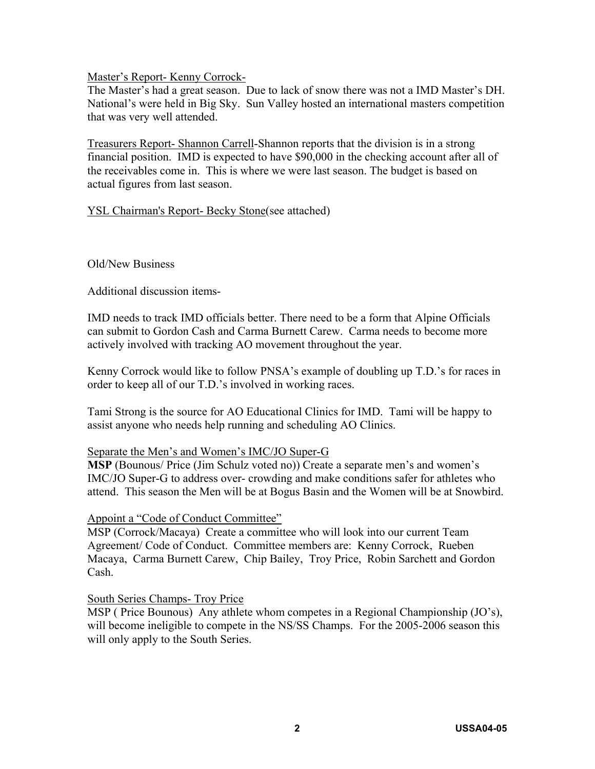Master's Report- Kenny Corrock-

The Master's had a great season. Due to lack of snow there was not a IMD Master's DH. National's were held in Big Sky. Sun Valley hosted an international masters competition that was very well attended.

Treasurers Report- Shannon Carrell-Shannon reports that the division is in a strong financial position. IMD is expected to have \$90,000 in the checking account after all of the receivables come in. This is where we were last season. The budget is based on actual figures from last season.

YSL Chairman's Report- Becky Stone(see attached)

Old/New Business

Additional discussion items-

IMD needs to track IMD officials better. There need to be a form that Alpine Officials can submit to Gordon Cash and Carma Burnett Carew. Carma needs to become more actively involved with tracking AO movement throughout the year.

Kenny Corrock would like to follow PNSA's example of doubling up T.D.'s for races in order to keep all of our T.D.'s involved in working races.

Tami Strong is the source for AO Educational Clinics for IMD. Tami will be happy to assist anyone who needs help running and scheduling AO Clinics.

#### Separate the Men's and Women's IMC/JO Super-G

**MSP** (Bounous/ Price (Jim Schulz voted no)) Create a separate men's and women's IMC/JO Super-G to address over- crowding and make conditions safer for athletes who attend. This season the Men will be at Bogus Basin and the Women will be at Snowbird.

#### Appoint a "Code of Conduct Committee"

MSP (Corrock/Macaya) Create a committee who will look into our current Team Agreement/ Code of Conduct. Committee members are: Kenny Corrock, Rueben Macaya, Carma Burnett Carew, Chip Bailey, Troy Price, Robin Sarchett and Gordon Cash.

#### South Series Champs- Troy Price

MSP ( Price Bounous) Any athlete whom competes in a Regional Championship (JO's), will become ineligible to compete in the NS/SS Champs. For the 2005-2006 season this will only apply to the South Series.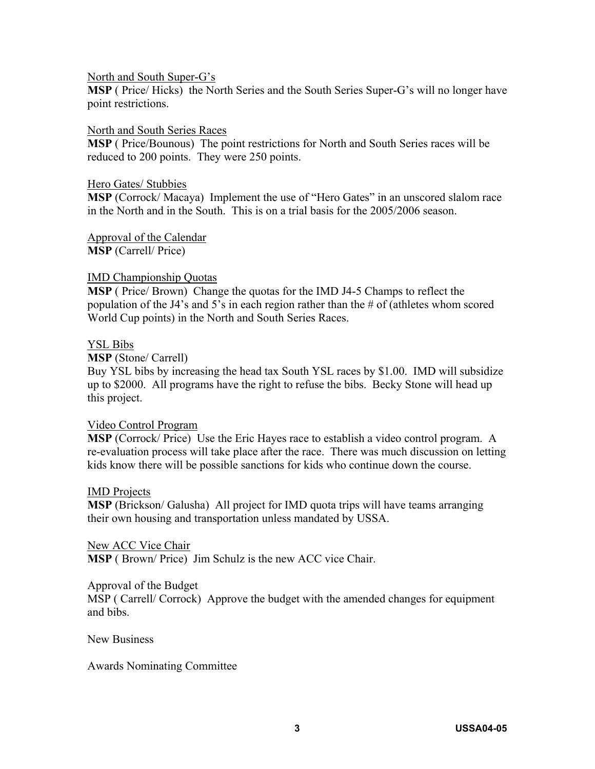#### North and South Super-G's

**MSP** ( Price/ Hicks) the North Series and the South Series Super-G's will no longer have point restrictions.

#### North and South Series Races

**MSP** ( Price/Bounous) The point restrictions for North and South Series races will be reduced to 200 points. They were 250 points.

#### Hero Gates/ Stubbies

**MSP** (Corrock/ Macaya) Implement the use of "Hero Gates" in an unscored slalom race in the North and in the South. This is on a trial basis for the 2005/2006 season.

Approval of the Calendar **MSP** (Carrell/ Price)

#### IMD Championship Quotas

**MSP** ( Price/ Brown) Change the quotas for the IMD J4-5 Champs to reflect the population of the J4's and 5's in each region rather than the # of (athletes whom scored World Cup points) in the North and South Series Races.

#### YSL Bibs

#### **MSP** (Stone/ Carrell)

Buy YSL bibs by increasing the head tax South YSL races by \$1.00. IMD will subsidize up to \$2000. All programs have the right to refuse the bibs. Becky Stone will head up this project.

#### Video Control Program

**MSP** (Corrock/ Price) Use the Eric Hayes race to establish a video control program. A re-evaluation process will take place after the race. There was much discussion on letting kids know there will be possible sanctions for kids who continue down the course.

#### IMD Projects

**MSP** (Brickson/ Galusha) All project for IMD quota trips will have teams arranging their own housing and transportation unless mandated by USSA.

#### New ACC Vice Chair

**MSP** ( Brown/ Price) Jim Schulz is the new ACC vice Chair.

#### Approval of the Budget

MSP ( Carrell/ Corrock) Approve the budget with the amended changes for equipment and bibs.

New Business

#### Awards Nominating Committee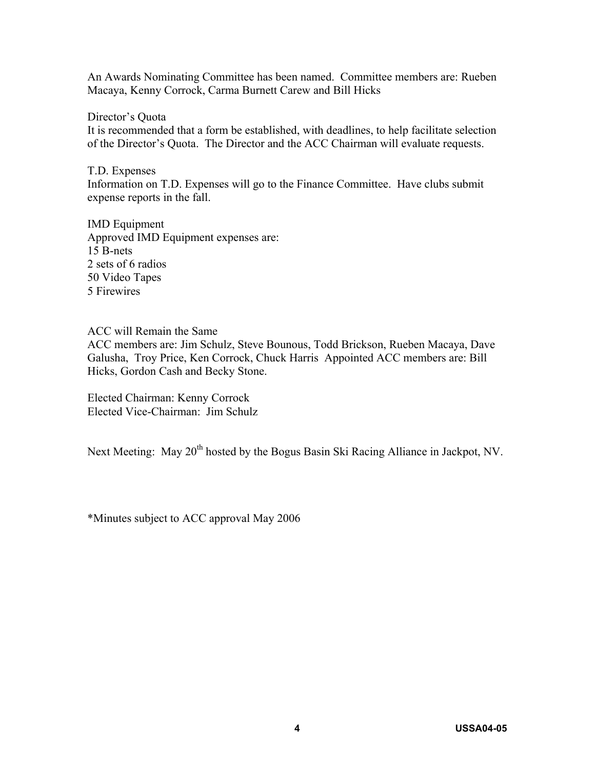An Awards Nominating Committee has been named. Committee members are: Rueben Macaya, Kenny Corrock, Carma Burnett Carew and Bill Hicks

Director's Quota

It is recommended that a form be established, with deadlines, to help facilitate selection of the Director's Quota. The Director and the ACC Chairman will evaluate requests.

T.D. Expenses Information on T.D. Expenses will go to the Finance Committee. Have clubs submit expense reports in the fall.

IMD Equipment Approved IMD Equipment expenses are: 15 B-nets 2 sets of 6 radios 50 Video Tapes 5 Firewires

ACC will Remain the Same

ACC members are: Jim Schulz, Steve Bounous, Todd Brickson, Rueben Macaya, Dave Galusha, Troy Price, Ken Corrock, Chuck Harris Appointed ACC members are: Bill Hicks, Gordon Cash and Becky Stone.

Elected Chairman: Kenny Corrock Elected Vice-Chairman: Jim Schulz

Next Meeting: May 20<sup>th</sup> hosted by the Bogus Basin Ski Racing Alliance in Jackpot, NV.

\*Minutes subject to ACC approval May 2006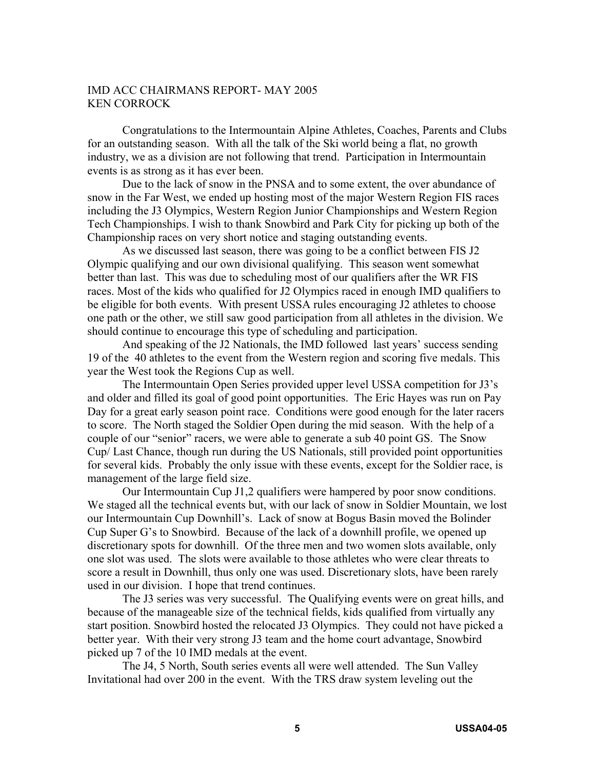#### IMD ACC CHAIRMANS REPORT- MAY 2005 KEN CORROCK

Congratulations to the Intermountain Alpine Athletes, Coaches, Parents and Clubs for an outstanding season. With all the talk of the Ski world being a flat, no growth industry, we as a division are not following that trend. Participation in Intermountain events is as strong as it has ever been.

Due to the lack of snow in the PNSA and to some extent, the over abundance of snow in the Far West, we ended up hosting most of the major Western Region FIS races including the J3 Olympics, Western Region Junior Championships and Western Region Tech Championships. I wish to thank Snowbird and Park City for picking up both of the Championship races on very short notice and staging outstanding events.

As we discussed last season, there was going to be a conflict between FIS J2 Olympic qualifying and our own divisional qualifying. This season went somewhat better than last. This was due to scheduling most of our qualifiers after the WR FIS races. Most of the kids who qualified for J2 Olympics raced in enough IMD qualifiers to be eligible for both events. With present USSA rules encouraging J2 athletes to choose one path or the other, we still saw good participation from all athletes in the division. We should continue to encourage this type of scheduling and participation.

And speaking of the J2 Nationals, the IMD followed last years' success sending 19 of the 40 athletes to the event from the Western region and scoring five medals. This year the West took the Regions Cup as well.

The Intermountain Open Series provided upper level USSA competition for J3's and older and filled its goal of good point opportunities. The Eric Hayes was run on Pay Day for a great early season point race. Conditions were good enough for the later racers to score. The North staged the Soldier Open during the mid season. With the help of a couple of our "senior" racers, we were able to generate a sub 40 point GS. The Snow Cup/ Last Chance, though run during the US Nationals, still provided point opportunities for several kids. Probably the only issue with these events, except for the Soldier race, is management of the large field size.

Our Intermountain Cup J1,2 qualifiers were hampered by poor snow conditions. We staged all the technical events but, with our lack of snow in Soldier Mountain, we lost our Intermountain Cup Downhill's. Lack of snow at Bogus Basin moved the Bolinder Cup Super G's to Snowbird. Because of the lack of a downhill profile, we opened up discretionary spots for downhill. Of the three men and two women slots available, only one slot was used. The slots were available to those athletes who were clear threats to score a result in Downhill, thus only one was used. Discretionary slots, have been rarely used in our division. I hope that trend continues.

The J3 series was very successful. The Qualifying events were on great hills, and because of the manageable size of the technical fields, kids qualified from virtually any start position. Snowbird hosted the relocated J3 Olympics. They could not have picked a better year. With their very strong J3 team and the home court advantage, Snowbird picked up 7 of the 10 IMD medals at the event.

The J4, 5 North, South series events all were well attended. The Sun Valley Invitational had over 200 in the event. With the TRS draw system leveling out the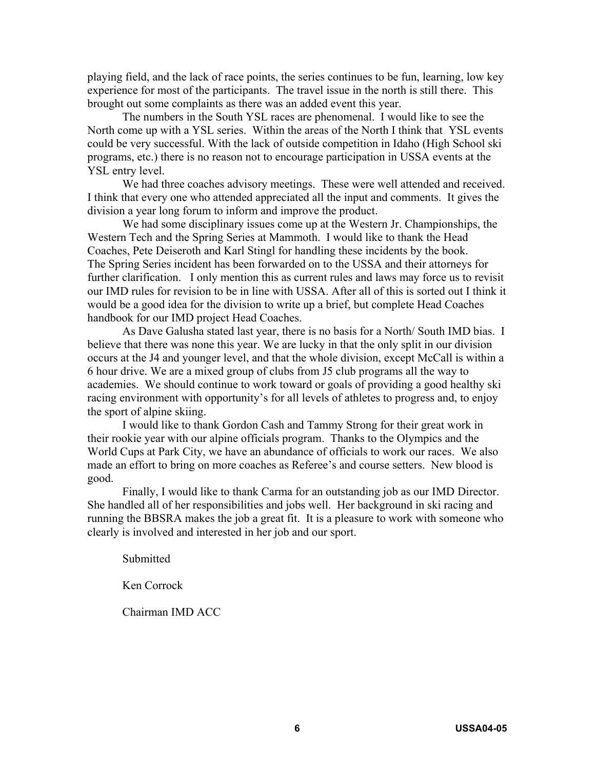playing field, and the lack of race points, the series continues to be fun, learning, low key experience for most of the participants. The travel issue in the north is still there. This brought out some complaints as there was an added event this year.

The numbers in the South YSL races are phenomenal. I would like to see the North come up with a YSL series. Within the areas of the North I think that YSL events could be very successful. With the lack of outside competition in Idaho (High School ski programs, etc.) there is no reason not to encourage participation in USSA events at the YSL entry level.

We had three coaches advisory meetings. These were well attended and received. I think that every one who attended appreciated all the input and comments. It gives the division a year long forum to inform and improve the product.

We had some disciplinary issues come up at the Western Jr. Championships, the Western Tech and the Spring Series at Mammoth. I would like to thank the Head Coaches, Pete Deiseroth and Karl Stingl for handling these incidents by the book. The Spring Series incident has been forwarded on to the USSA and their attorneys for further clarification. I only mention this as current rules and laws may force us to revisit our IMD rules for revision to be in line with USSA. After all of this is sorted out I think it would be a good idea for the division to write up a brief, but complete Head Coaches handbook for our IMD project Head Coaches.

As Dave Galusha stated last year, there is no basis for a North/ South IMD bias. I believe that there was none this year. We are lucky in that the only split in our division occurs at the J4 and younger level, and that the whole division, except McCall is within a 6 hour drive. We are a mixed group of clubs from J5 club programs all the way to academies. We should continue to work toward or goals of providing a good healthy ski racing environment with opportunity's for all levels of athletes to progress and, to enjoy the sport of alpine skiing.

I would like to thank Gordon Cash and Tammy Strong for their great work in their rookie year with our alpine officials program. Thanks to the Olympics and the World Cups at Park City, we have an abundance of officials to work our races. We also made an effort to bring on more coaches as Referee's and course setters. New blood is good.

Finally, I would like to thank Carma for an outstanding job as our IMD Director. She handled all of her responsibilities and jobs well. Her background in ski racing and running the BBSRA makes the job a great fit. It is a pleasure to work with someone who clearly is involved and interested in her job and our sport.

Submitted

Ken Corrock

Chairman IMD ACC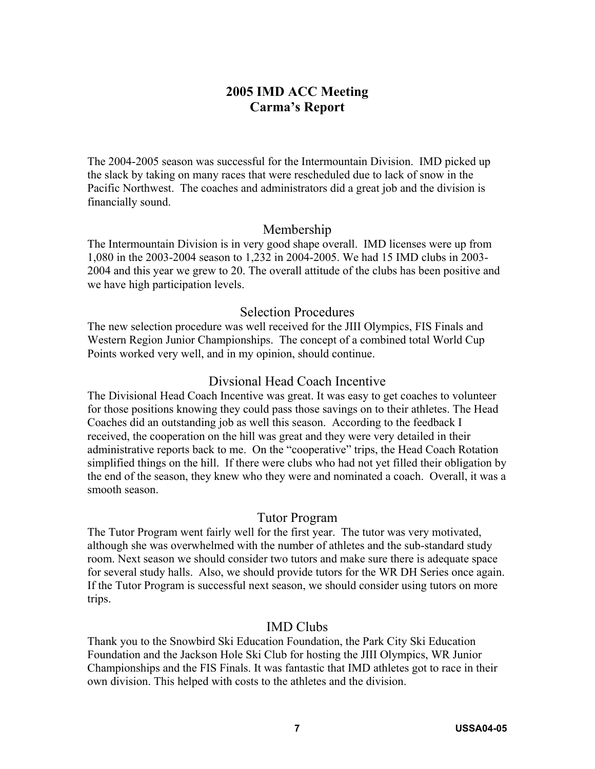# **2005 IMD ACC Meeting Carma's Report**

The 2004-2005 season was successful for the Intermountain Division. IMD picked up the slack by taking on many races that were rescheduled due to lack of snow in the Pacific Northwest. The coaches and administrators did a great job and the division is financially sound.

#### Membership

The Intermountain Division is in very good shape overall. IMD licenses were up from 1,080 in the 2003-2004 season to 1,232 in 2004-2005. We had 15 IMD clubs in 2003- 2004 and this year we grew to 20. The overall attitude of the clubs has been positive and we have high participation levels.

#### Selection Procedures

The new selection procedure was well received for the JIII Olympics, FIS Finals and Western Region Junior Championships. The concept of a combined total World Cup Points worked very well, and in my opinion, should continue.

#### Divsional Head Coach Incentive

The Divisional Head Coach Incentive was great. It was easy to get coaches to volunteer for those positions knowing they could pass those savings on to their athletes. The Head Coaches did an outstanding job as well this season. According to the feedback I received, the cooperation on the hill was great and they were very detailed in their administrative reports back to me. On the "cooperative" trips, the Head Coach Rotation simplified things on the hill. If there were clubs who had not yet filled their obligation by the end of the season, they knew who they were and nominated a coach. Overall, it was a smooth season.

#### Tutor Program

The Tutor Program went fairly well for the first year. The tutor was very motivated, although she was overwhelmed with the number of athletes and the sub-standard study room. Next season we should consider two tutors and make sure there is adequate space for several study halls. Also, we should provide tutors for the WR DH Series once again. If the Tutor Program is successful next season, we should consider using tutors on more trips.

#### IMD Clubs

Thank you to the Snowbird Ski Education Foundation, the Park City Ski Education Foundation and the Jackson Hole Ski Club for hosting the JIII Olympics, WR Junior Championships and the FIS Finals. It was fantastic that IMD athletes got to race in their own division. This helped with costs to the athletes and the division.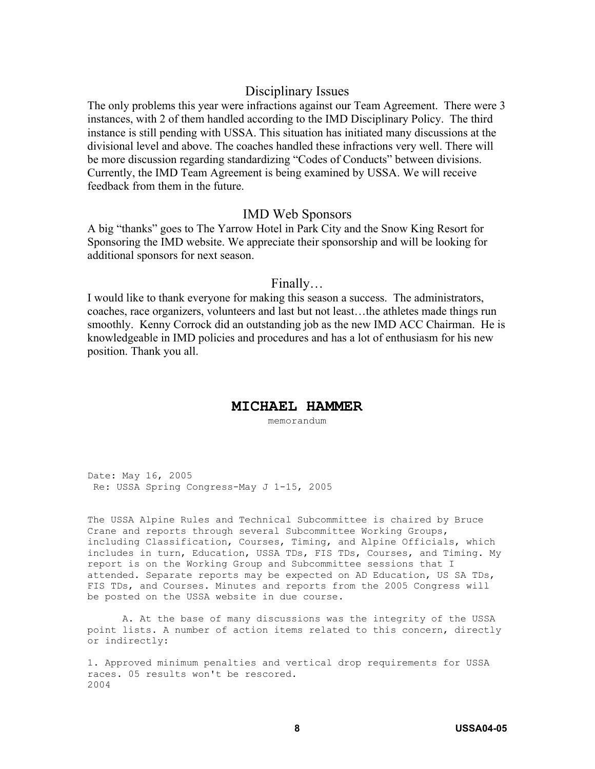#### Disciplinary Issues

The only problems this year were infractions against our Team Agreement. There were 3 instances, with 2 of them handled according to the IMD Disciplinary Policy. The third instance is still pending with USSA. This situation has initiated many discussions at the divisional level and above. The coaches handled these infractions very well. There will be more discussion regarding standardizing "Codes of Conducts" between divisions. Currently, the IMD Team Agreement is being examined by USSA. We will receive feedback from them in the future.

#### IMD Web Sponsors

A big "thanks" goes to The Yarrow Hotel in Park City and the Snow King Resort for Sponsoring the IMD website. We appreciate their sponsorship and will be looking for additional sponsors for next season.

#### Finally…

I would like to thank everyone for making this season a success. The administrators, coaches, race organizers, volunteers and last but not least…the athletes made things run smoothly. Kenny Corrock did an outstanding job as the new IMD ACC Chairman. He is knowledgeable in IMD policies and procedures and has a lot of enthusiasm for his new position. Thank you all.

#### **MICHAEL HAMMER**

memorandum

Date: May 16, 2005 Re: USSA Spring Congress-May J 1-15, 2005

The USSA Alpine Rules and Technical Subcommittee is chaired by Bruce Crane and reports through several Subcommittee Working Groups, including Classification, Courses, Timing, and Alpine Officials, which includes in turn, Education, USSA TDs, FIS TDs, Courses, and Timing. My report is on the Working Group and Subcommittee sessions that I attended. Separate reports may be expected on AD Education, US SA TDs, FIS TDs, and Courses. Minutes and reports from the 2005 Congress will be posted on the USSA website in due course.

 A. At the base of many discussions was the integrity of the USSA point lists. A number of action items related to this concern, directly or indirectly:

1. Approved minimum penalties and vertical drop requirements for USSA races. 05 results won't be rescored. 2004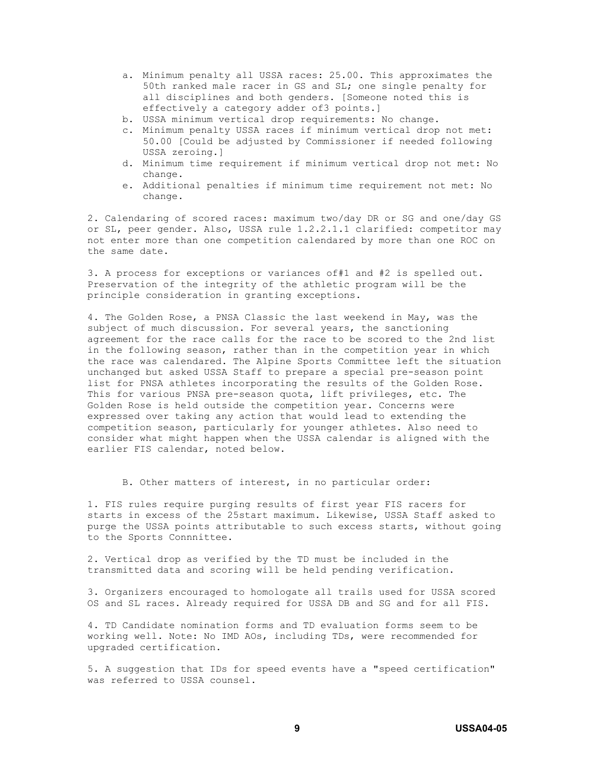- a. Minimum penalty all USSA races: 25.00. This approximates the 50th ranked male racer in GS and SL; one single penalty for all disciplines and both genders. [Someone noted this is effectively a category adder of3 points.]
- b. USSA minimum vertical drop requirements: No change.
- c. Minimum penalty USSA races if minimum vertical drop not met: 50.00 [Could be adjusted by Commissioner if needed following USSA zeroing.]
- d. Minimum time requirement if minimum vertical drop not met: No change.
- e. Additional penalties if minimum time requirement not met: No change.

2. Calendaring of scored races: maximum two/day DR or SG and one/day GS or SL, peer gender. Also, USSA rule 1.2.2.1.1 clarified: competitor may not enter more than one competition calendared by more than one ROC on the same date.

3. A process for exceptions or variances of#1 and #2 is spelled out. Preservation of the integrity of the athletic program will be the principle consideration in granting exceptions.

4. The Golden Rose, a PNSA Classic the last weekend in May, was the subject of much discussion. For several years, the sanctioning agreement for the race calls for the race to be scored to the 2nd list in the following season, rather than in the competition year in which the race was calendared. The Alpine Sports Committee left the situation unchanged but asked USSA Staff to prepare a special pre-season point list for PNSA athletes incorporating the results of the Golden Rose. This for various PNSA pre-season quota, lift privileges, etc. The Golden Rose is held outside the competition year. Concerns were expressed over taking any action that would lead to extending the competition season, particularly for younger athletes. Also need to consider what might happen when the USSA calendar is aligned with the earlier FIS calendar, noted below.

B. Other matters of interest, in no particular order:

1. FIS rules require purging results of first year FIS racers for starts in excess of the 25start maximum. Likewise, USSA Staff asked to purge the USSA points attributable to such excess starts, without going to the Sports Connnittee.

2. Vertical drop as verified by the TD must be included in the transmitted data and scoring will be held pending verification.

3. Organizers encouraged to homologate all trails used for USSA scored OS and SL races. Already required for USSA DB and SG and for all FIS.

4. TD Candidate nomination forms and TD evaluation forms seem to be working well. Note: No IMD AOs, including TDs, were recommended for upgraded certification.

5. A suggestion that IDs for speed events have a "speed certification" was referred to USSA counsel.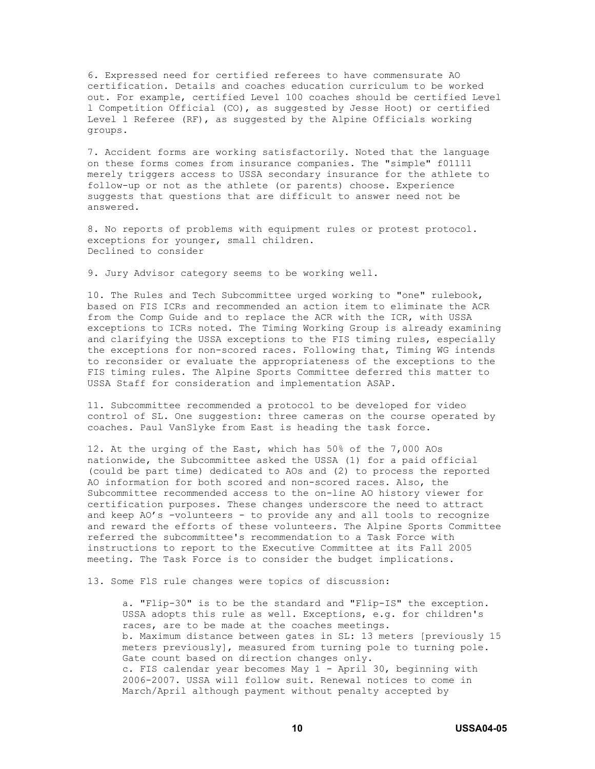6. Expressed need for certified referees to have commensurate AO certification. Details and coaches education curriculum to be worked out. For example, certified Level 100 coaches should be certified Level l Competition Official (CO), as suggested by Jesse Hoot) or certified Level l Referee (RF), as suggested by the Alpine Officials working groups.

7. Accident forms are working satisfactorily. Noted that the language on these forms comes from insurance companies. The "simple" f01111 merely triggers access to USSA secondary insurance for the athlete to follow-up or not as the athlete (or parents) choose. Experience suggests that questions that are difficult to answer need not be answered.

8. No reports of problems with equipment rules or protest protocol. exceptions for younger, small children. Declined to consider

9. Jury Advisor category seems to be working well.

10. The Rules and Tech Subcommittee urged working to "one" rulebook, based on FIS ICRs and recommended an action item to eliminate the ACR from the Comp Guide and to replace the ACR with the ICR, with USSA exceptions to ICRs noted. The Timing Working Group is already examining and clarifying the USSA exceptions to the FIS timing rules, especially the exceptions for non-scored races. Following that, Timing WG intends to reconsider or evaluate the appropriateness of the exceptions to the FIS timing rules. The Alpine Sports Committee deferred this matter to USSA Staff for consideration and implementation ASAP.

11. Subcommittee recommended a protocol to be developed for video control of SL. One suggestion: three cameras on the course operated by coaches. Paul VanSlyke from East is heading the task force.

12. At the urging of the East, which has 50% of the 7,000 AOs nationwide, the Subcommittee asked the USSA (1) for a paid official (could be part time) dedicated to AOs and (2) to process the reported AO information for both scored and non-scored races. Also, the Subcommittee recommended access to the on-line AO history viewer for certification purposes. These changes underscore the need to attract and keep AO's -volunteers - to provide any and all tools to recognize and reward the efforts of these volunteers. The Alpine Sports Committee referred the subcommittee's recommendation to a Task Force with instructions to report to the Executive Committee at its Fall 2005 meeting. The Task Force is to consider the budget implications.

13. Some FlS rule changes were topics of discussion:

a. "Flip-30" is to be the standard and "Flip-IS" the exception. USSA adopts this rule as well. Exceptions, e.g. for children's races, are to be made at the coaches meetings. b. Maximum distance between gates in SL: 13 meters [previously 15 meters previously], measured from turning pole to turning pole. Gate count based on direction changes only. c. FIS calendar year becomes May 1 - April 30, beginning with 2006-2007. USSA will follow suit. Renewal notices to come in March/April although payment without penalty accepted by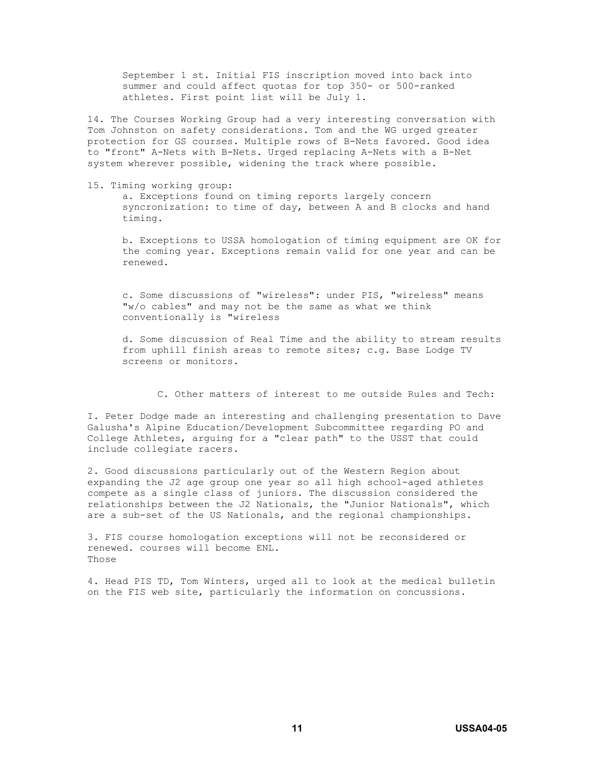September 1 st. Initial FIS inscription moved into back into summer and could affect quotas for top 350- or 500-ranked athletes. First point list will be July 1.

14. The Courses Working Group had a very interesting conversation with Tom Johnston on safety considerations. Tom and the WG urged greater protection for GS courses. Multiple rows of B-Nets favored. Good idea to "front" A-Nets with B-Nets. Urged replacing A-Nets with a B-Net system wherever possible, widening the track where possible.

15. Timing working group:

a. Exceptions found on timing reports largely concern syncronization: to time of day, between A and B clocks and hand timing.

b. Exceptions to USSA homologation of timing equipment are OK for the coming year. Exceptions remain valid for one year and can be renewed.

c. Some discussions of "wireless": under PIS, "wireless" means "w/o cables" and may not be the same as what we think conventionally is "wireless

d. Some discussion of Real Time and the ability to stream results from uphill finish areas to remote sites; c.g. Base Lodge TV screens or monitors.

C. Other matters of interest to me outside Rules and Tech:

I. Peter Dodge made an interesting and challenging presentation to Dave Galusha's Alpine Education/Development Subcommittee regarding PO and College Athletes, arguing for a "clear path" to the USST that could include collegiate racers.

2. Good discussions particularly out of the Western Region about expanding the J2 age group one year so all high school-aged athletes compete as a single class of juniors. The discussion considered the relationships between the J2 Nationals, the "Junior Nationals", which are a sub-set of the US Nationals, and the regional championships.

3. FIS course homologation exceptions will not be reconsidered or renewed. courses will become ENL. Those

4. Head PIS TD, Tom Winters, urged all to look at the medical bulletin on the FIS web site, particularly the information on concussions.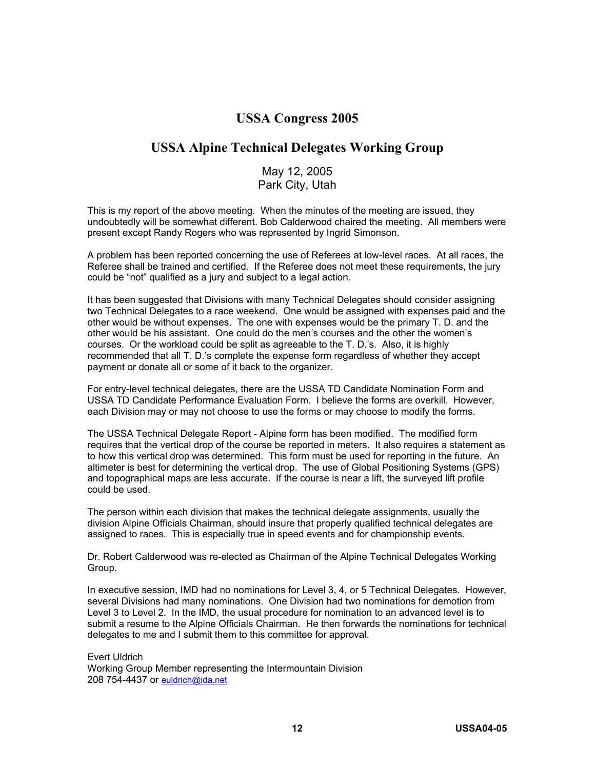## **USSA Congress 2005**

## **USSA Alpine Technical Delegates Working Group**

#### May 12, 2005 Park City, Utah

This is my report of the above meeting. When the minutes of the meeting are issued, they undoubtedly will be somewhat different. Bob Calderwood chaired the meeting. All members were present except Randy Rogers who was represented by Ingrid Simonson.

A problem has been reported concerning the use of Referees at low-level races. At all races, the Referee shall be trained and certified. If the Referee does not meet these requirements, the jury could be "not" qualified as a jury and subject to a legal action.

It has been suggested that Divisions with many Technical Delegates should consider assigning two Technical Delegates to a race weekend. One would be assigned with expenses paid and the other would be without expenses. The one with expenses would be the primary T. D. and the other would be his assistant. One could do the men's courses and the other the women's courses. Or the workload could be split as agreeable to the T. D.'s. Also, it is highly recommended that all T. D.'s complete the expense form regardless of whether they accept payment or donate all or some of it back to the organizer.

For entry-level technical delegates, there are the USSA TD Candidate Nomination Form and USSA TD Candidate Performance Evaluation Form. I believe the forms are overkill. However, each Division may or may not choose to use the forms or may choose to modify the forms.

The USSA Technical Delegate Report - Alpine form has been modified. The modified form requires that the vertical drop of the course be reported in meters. It also requires a statement as to how this vertical drop was determined. This form must be used for reporting in the future. An altimeter is best for determining the vertical drop. The use of Global Positioning Systems (GPS) and topographical maps are less accurate. If the course is near a lift, the surveyed lift profile could be used.

The person within each division that makes the technical delegate assignments, usually the division Alpine Officials Chairman, should insure that properly qualified technical delegates are assigned to races. This is especially true in speed events and for championship events.

Dr. Robert Calderwood was re-elected as Chairman of the Alpine Technical Delegates Working Group.

In executive session, IMD had no nominations for Level 3, 4, or 5 Technical Delegates. However, several Divisions had many nominations. One Division had two nominations for demotion from Level 3 to Level 2. In the IMD, the usual procedure for nomination to an advanced level is to submit a resume to the Alpine Officials Chairman. He then forwards the nominations for technical delegates to me and I submit them to this committee for approval.

Evert Uldrich Working Group Member representing the Intermountain Division 208 754-4437 or euldrich@ida.net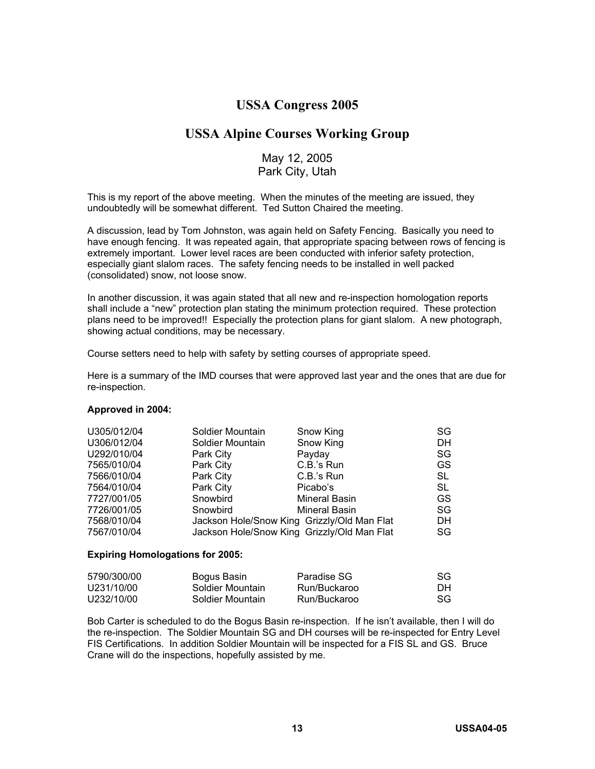## **USSA Congress 2005**

### **USSA Alpine Courses Working Group**

#### May 12, 2005 Park City, Utah

This is my report of the above meeting. When the minutes of the meeting are issued, they undoubtedly will be somewhat different. Ted Sutton Chaired the meeting.

A discussion, lead by Tom Johnston, was again held on Safety Fencing. Basically you need to have enough fencing. It was repeated again, that appropriate spacing between rows of fencing is extremely important. Lower level races are been conducted with inferior safety protection, especially giant slalom races. The safety fencing needs to be installed in well packed (consolidated) snow, not loose snow.

In another discussion, it was again stated that all new and re-inspection homologation reports shall include a "new" protection plan stating the minimum protection required. These protection plans need to be improved!! Especially the protection plans for giant slalom. A new photograph, showing actual conditions, may be necessary.

Course setters need to help with safety by setting courses of appropriate speed.

Here is a summary of the IMD courses that were approved last year and the ones that are due for re-inspection.

#### **Approved in 2004:**

| U305/012/04 | Soldier Mountain                            | Snow King            | SG. |
|-------------|---------------------------------------------|----------------------|-----|
| U306/012/04 | Soldier Mountain                            | Snow King            | DH  |
| U292/010/04 | Park City                                   | Payday               | SG  |
| 7565/010/04 | Park City                                   | C.B.'s Run           | GS. |
| 7566/010/04 | Park City                                   | C.B.'s Run           | SL. |
| 7564/010/04 | Park City                                   | Picabo's             | SL  |
| 7727/001/05 | Snowbird                                    | Mineral Basin        | GS. |
| 7726/001/05 | Snowbird                                    | <b>Mineral Basin</b> | SG  |
| 7568/010/04 | Jackson Hole/Snow King Grizzly/Old Man Flat |                      | DH. |
| 7567/010/04 | Jackson Hole/Snow King Grizzly/Old Man Flat |                      | SG. |

#### **Expiring Homologations for 2005:**

| 5790/300/00 | Bogus Basin      | Paradise SG  | SG  |
|-------------|------------------|--------------|-----|
| U231/10/00  | Soldier Mountain | Run/Buckaroo | DH. |
| U232/10/00  | Soldier Mountain | Run/Buckaroo | SG. |

Bob Carter is scheduled to do the Bogus Basin re-inspection. If he isn't available, then I will do the re-inspection. The Soldier Mountain SG and DH courses will be re-inspected for Entry Level FIS Certifications. In addition Soldier Mountain will be inspected for a FIS SL and GS. Bruce Crane will do the inspections, hopefully assisted by me.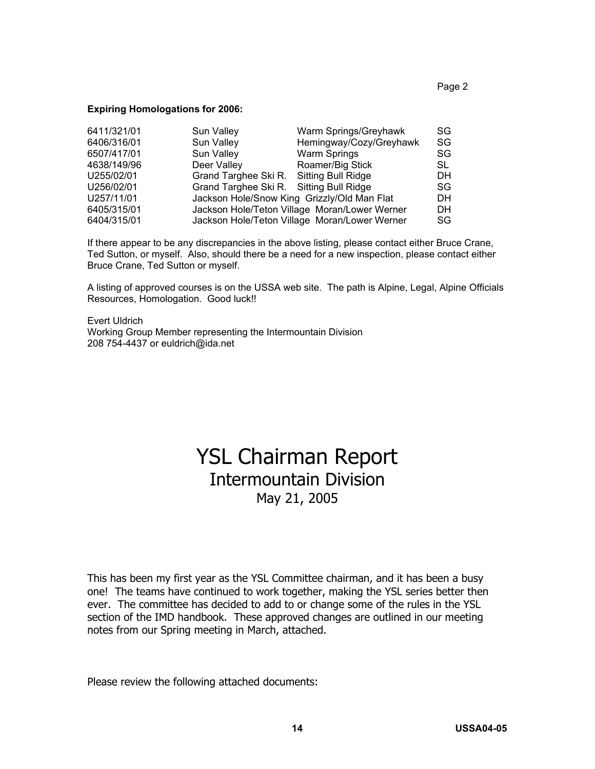#### **Expiring Homologations for 2006:**

| 6411/321/01 | Sun Valley                                  | Warm Springs/Greyhawk                         | SG.       |
|-------------|---------------------------------------------|-----------------------------------------------|-----------|
| 6406/316/01 | Sun Valley                                  | Hemingway/Cozy/Greyhawk                       | SG        |
| 6507/417/01 | Sun Valley                                  | Warm Springs                                  | SG.       |
| 4638/149/96 | Deer Valley                                 | Roamer/Big Stick                              | SL        |
| U255/02/01  | Grand Targhee Ski R. Sitting Bull Ridge     |                                               | DH        |
| U256/02/01  | Grand Targhee Ski R. Sitting Bull Ridge     |                                               | SG.       |
| U257/11/01  | Jackson Hole/Snow King Grizzly/Old Man Flat |                                               | <b>DH</b> |
| 6405/315/01 |                                             | Jackson Hole/Teton Village Moran/Lower Werner | <b>DH</b> |
| 6404/315/01 |                                             | Jackson Hole/Teton Village Moran/Lower Werner | SG.       |

If there appear to be any discrepancies in the above listing, please contact either Bruce Crane, Ted Sutton, or myself. Also, should there be a need for a new inspection, please contact either Bruce Crane, Ted Sutton or myself.

A listing of approved courses is on the USSA web site. The path is Alpine, Legal, Alpine Officials Resources, Homologation. Good luck!!

Evert Uldrich Working Group Member representing the Intermountain Division 208 754-4437 or euldrich@ida.net

# YSL Chairman Report Intermountain Division May 21, 2005

This has been my first year as the YSL Committee chairman, and it has been a busy one! The teams have continued to work together, making the YSL series better then ever. The committee has decided to add to or change some of the rules in the YSL section of the IMD handbook. These approved changes are outlined in our meeting notes from our Spring meeting in March, attached.

Please review the following attached documents: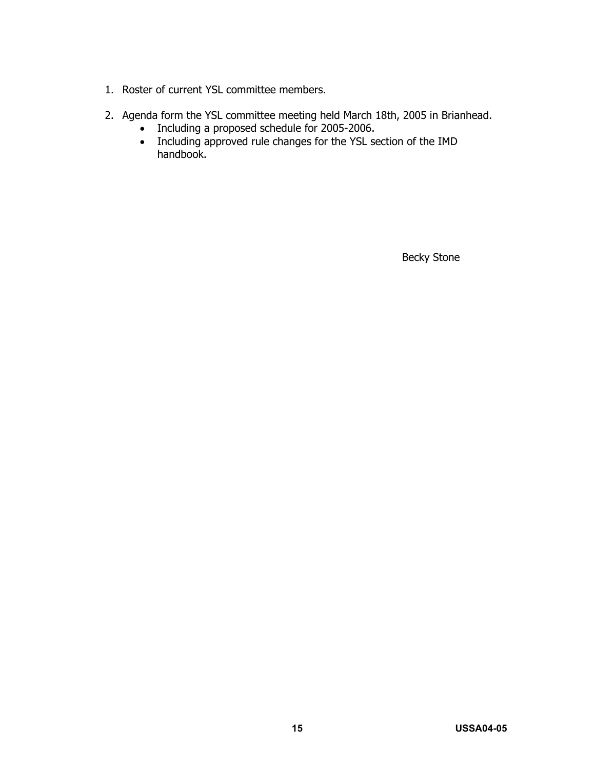- 1. Roster of current YSL committee members.
- 2. Agenda form the YSL committee meeting held March 18th, 2005 in Brianhead.
	- Including a proposed schedule for 2005-2006.
	- Including approved rule changes for the YSL section of the IMD handbook.

Becky Stone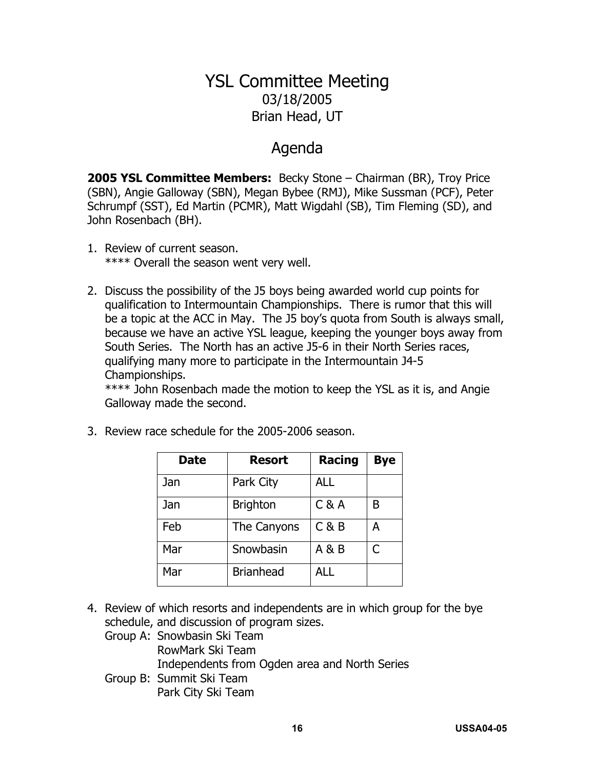# YSL Committee Meeting 03/18/2005 Brian Head, UT

# Agenda

**2005 YSL Committee Members:** Becky Stone – Chairman (BR), Troy Price (SBN), Angie Galloway (SBN), Megan Bybee (RMJ), Mike Sussman (PCF), Peter Schrumpf (SST), Ed Martin (PCMR), Matt Wigdahl (SB), Tim Fleming (SD), and John Rosenbach (BH).

- 1. Review of current season. \*\*\*\* Overall the season went very well.
- 2. Discuss the possibility of the J5 boys being awarded world cup points for qualification to Intermountain Championships. There is rumor that this will be a topic at the ACC in May. The J5 boy's quota from South is always small, because we have an active YSL league, keeping the younger boys away from South Series. The North has an active J5-6 in their North Series races, qualifying many more to participate in the Intermountain J4-5 Championships.

\*\*\*\* John Rosenbach made the motion to keep the YSL as it is, and Angie Galloway made the second.

| <b>Date</b> | <b>Resort</b>    | <b>Racing</b> | <b>Bye</b> |
|-------------|------------------|---------------|------------|
| Jan         | Park City        | <b>ALL</b>    |            |
| Jan         | <b>Brighton</b>  | C & A         | B          |
| Feb         | The Canyons      | C & B         | А          |
| Mar         | Snowbasin        | A & B         | C          |
| Mar         | <b>Brianhead</b> | <b>ALL</b>    |            |

3. Review race schedule for the 2005-2006 season.

4. Review of which resorts and independents are in which group for the bye schedule, and discussion of program sizes.

Group A: Snowbasin Ski Team RowMark Ski Team

- Independents from Ogden area and North Series
- Group B: Summit Ski Team Park City Ski Team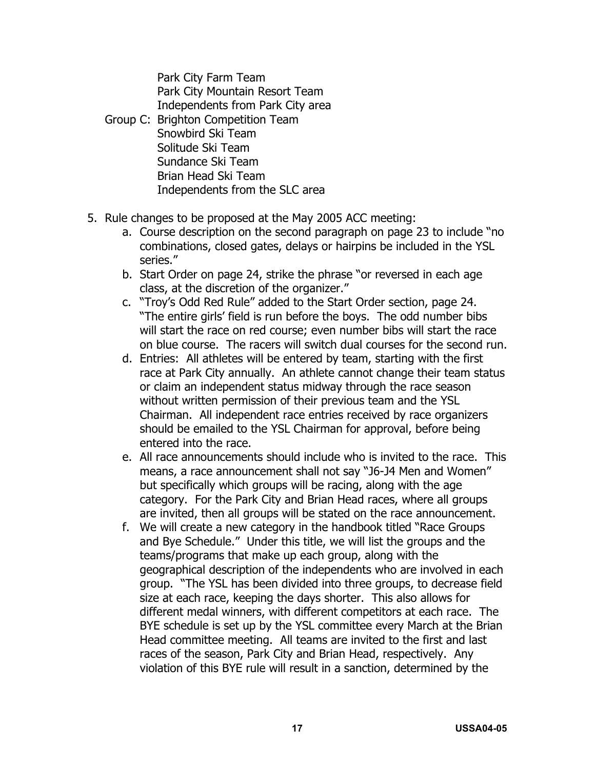Park City Farm Team Park City Mountain Resort Team Independents from Park City area

- Group C: Brighton Competition Team Snowbird Ski Team Solitude Ski Team Sundance Ski Team Brian Head Ski Team Independents from the SLC area
- 5. Rule changes to be proposed at the May 2005 ACC meeting:
	- a. Course description on the second paragraph on page 23 to include "no combinations, closed gates, delays or hairpins be included in the YSL series."
	- b. Start Order on page 24, strike the phrase "or reversed in each age class, at the discretion of the organizer."
	- c. "Troy's Odd Red Rule" added to the Start Order section, page 24. "The entire girls' field is run before the boys. The odd number bibs will start the race on red course; even number bibs will start the race on blue course. The racers will switch dual courses for the second run.
	- d. Entries: All athletes will be entered by team, starting with the first race at Park City annually. An athlete cannot change their team status or claim an independent status midway through the race season without written permission of their previous team and the YSL Chairman. All independent race entries received by race organizers should be emailed to the YSL Chairman for approval, before being entered into the race.
	- e. All race announcements should include who is invited to the race. This means, a race announcement shall not say "J6-J4 Men and Women" but specifically which groups will be racing, along with the age category. For the Park City and Brian Head races, where all groups are invited, then all groups will be stated on the race announcement.
	- f. We will create a new category in the handbook titled "Race Groups and Bye Schedule." Under this title, we will list the groups and the teams/programs that make up each group, along with the geographical description of the independents who are involved in each group. "The YSL has been divided into three groups, to decrease field size at each race, keeping the days shorter. This also allows for different medal winners, with different competitors at each race. The BYE schedule is set up by the YSL committee every March at the Brian Head committee meeting. All teams are invited to the first and last races of the season, Park City and Brian Head, respectively. Any violation of this BYE rule will result in a sanction, determined by the